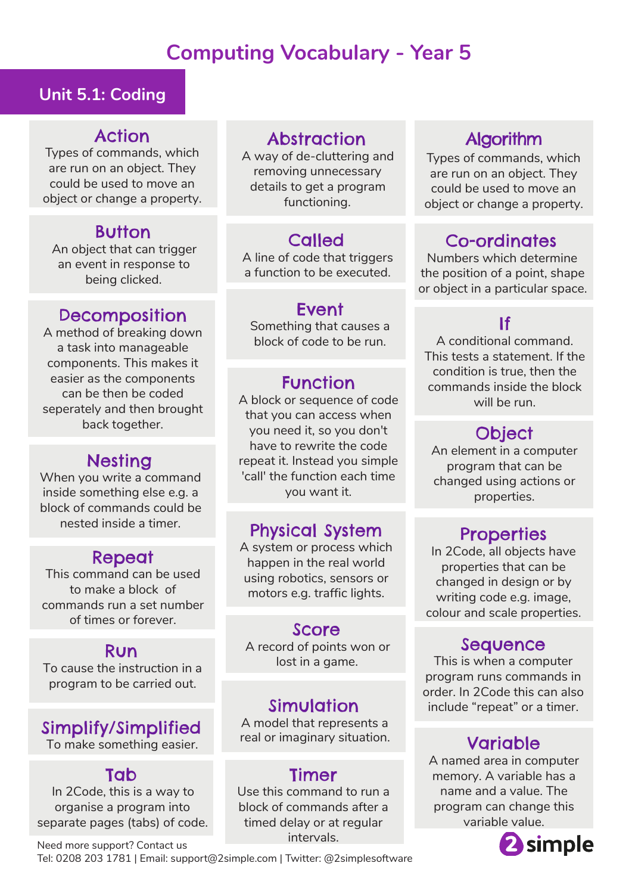# **Computing Vocabulary - Year 5**

#### **Unit 5.1: Coding**

#### Action

Types of commands, which are run on an object. They could be used to move an object or change a property.

## Button

An object that can trigger an event in response to being clicked.

#### Decomposition

A method of breaking down a task into manageable components. This makes it easier as the components can be then be coded seperately and then brought back together.

#### Nesting

When you write a command inside something else e.g. a block of commands could be

#### Repeat

This command can be used to make a block of commands run a set number of times or forever.

#### Run

To cause the instruction in a program to be carried out.

# Simplify/Simplified

To make something easier.

#### Tab

In 2Code, this is a way to organise a program into separate pages (tabs) of code.

## Abstraction

A way of de-cluttering and removing unnecessary details to get a program functioning.

## Called

A line of code that triggers a function to be executed.

#### **Event**

Something that causes a block of code to be run.

## Function

A block or sequence of code that you can access when you need it, so you don't have to rewrite the code repeat it. Instead you simple 'call' the function each time you want it.

# nested inside a timer.<br> **Physical System Properties**

A system or process which happen in the real world using robotics, sensors or motors e.g. traffic lights.

#### Score

A record of points won or lost in a game.

## Simulation

A model that represents a real or imaginary situation.

## Timer

Use this command to run a block of commands after a timed delay or at regular intervals.

## Algorithm

Types of commands, which are run on an object. They could be used to move an object or change a property.

## Co-ordinates

Numbers which determine the position of a point, shape or object in a particular space.

## If

A conditional command. This tests a statement. If the condition is true, then the commands inside the block will be run.

## **Object**

An element in a computer program that can be changed using actions or properties.

In 2Code, all objects have properties that can be changed in design or by writing code e.g. image, colour and scale properties.

#### Sequence

This is when a computer program runs commands in order. In 2Code this can also include "repeat" or a timer.

#### Variable

A named area in computer memory. A variable has a name and a value. The program can change this variable value.



Need more support? Contact us Tel: 0208 203 1781 | Email: support@2simple.com | Twitter: @2simplesoftware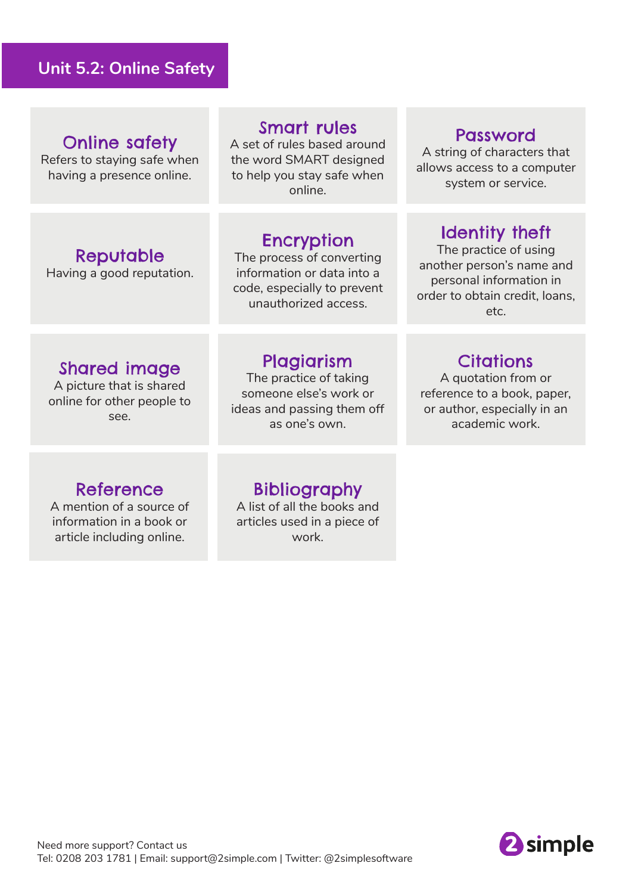## **Unit 5.2: Online Safety**

## Online safety

Refers to staying safe when having a presence online.

Reputable Having a good reputation.

#### Smart rules

A set of rules based around the word SMART designed to help you stay safe when online.

## Encryption

The process of converting information or data into a code, especially to prevent unauthorized access.

## Password

A string of characters that allows access to a computer system or service.

## Identity theft

The practice of using another person's name and personal information in order to obtain credit, loans, etc.

#### Shared image

A picture that is shared online for other people to see.

#### Plagiarism

The practice of taking someone else's work or ideas and passing them off as one's own.

## Reference

A mention of a source of information in a book or article including online.

#### Bibliography

A list of all the books and articles used in a piece of work.

## **Citations**

A quotation from or reference to a book, paper, or author, especially in an academic work.

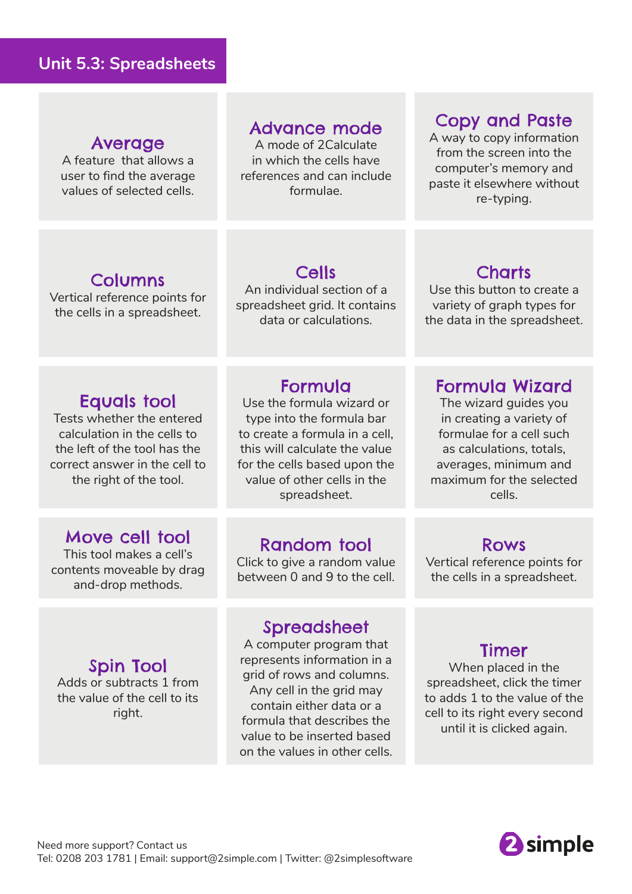#### **Unit 5.3: Spreadsheets**

#### Average

A feature that allows a user to find the average values of selected cells.

## Advance mode

A mode of 2Calculate in which the cells have references and can include formulae.

## Copy and Paste

A way to copy information from the screen into the computer's memory and paste it elsewhere without re-typing.

## Columns

Vertical reference points for the cells in a spreadsheet.

#### Cells

An individual section of a spreadsheet grid. It contains data or calculations.

## **Charts**

Use this button to create a variety of graph types for the data in the spreadsheet.

## Equals tool

Tests whether the entered calculation in the cells to the left of the tool has the correct answer in the cell to the right of the tool.

## Move cell tool

This tool makes a cell's contents moveable by drag and-drop methods.

Spin Tool Adds or subtracts 1 from the value of the cell to its right.

## Formula

Use the formula wizard or type into the formula bar to create a formula in a cell, this will calculate the value for the cells based upon the value of other cells in the spreadsheet.

#### Random tool

Click to give a random value between 0 and 9 to the cell.

## Spreadsheet

A computer program that represents information in a grid of rows and columns. Any cell in the grid may contain either data or a formula that describes the value to be inserted based on the values in other cells.

#### Formula Wizard

The wizard guides you in creating a variety of formulae for a cell such as calculations, totals, averages, minimum and maximum for the selected cells.

#### Rows

Vertical reference points for the cells in a spreadsheet.

#### Timer

When placed in the spreadsheet, click the timer to adds 1 to the value of the cell to its right every second until it is clicked again.

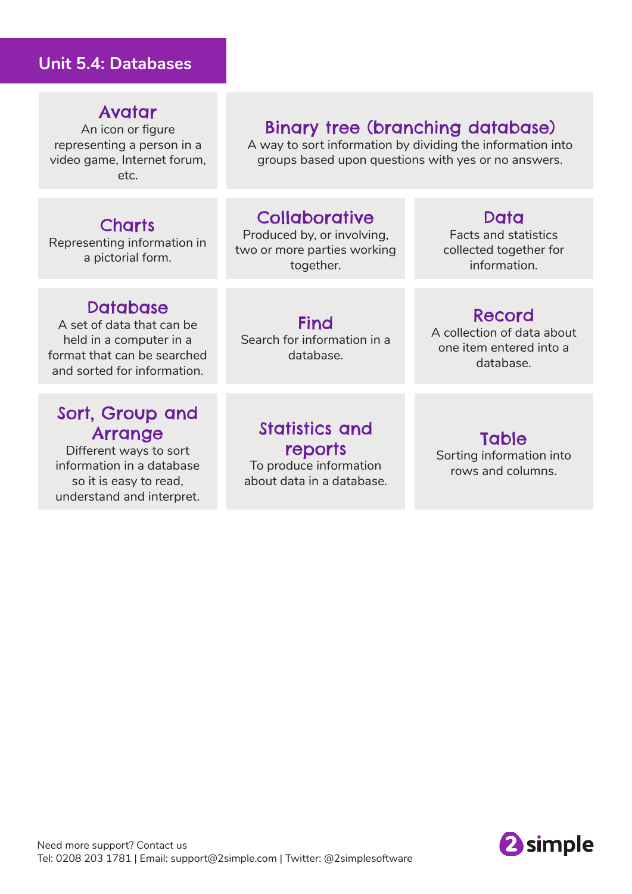#### **Unit 5.4: Databases**

## Avatar

An icon or figure representing a person in a video game, Internet forum, etc.

#### **Charts**

Representing information in a pictorial form.

## Binary tree (branching database)

A way to sort information by dividing the information into groups based upon questions with yes or no answers.

## Collaborative

Produced by, or involving, two or more parties working together.

#### Data

Facts and statistics collected together for information.

#### **Database**

A set of data that can be held in a computer in a format that can be searched and sorted for information.

## Sort, Group and Arrange

Different ways to sort information in a database so it is easy to read, understand and interpret.

Find Search for information in a database.

#### Record

A collection of data about one item entered into a database.

## Statistics and reports

To produce information about data in a database.

#### **Table**

Sorting information into rows and columns.

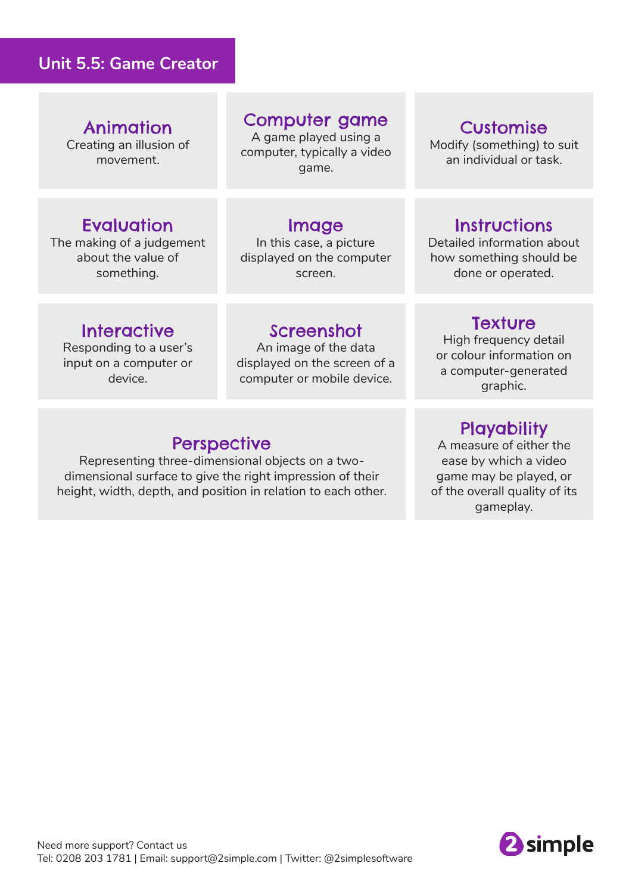#### **Unit 5.5: Game Creator**

## Animation

Creating an illusion of movement.

## **Evaluation**

The making of a judgement about the value of something.

#### Computer game

A game played using a computer, typically a video game.

#### Image

In this case, a picture displayed on the computer screen.

#### **Customise**

Modify (something) to suit an individual or task.

#### **Instructions**

Detailed information about how something should be done or operated.

#### **Interactive**

Responding to a user's input on a computer or device.

#### Screenshot

An image of the data displayed on the screen of a computer or mobile device.

#### **Perspective**

Representing three-dimensional objects on a twodimensional surface to give the right impression of their height, width, depth, and position in relation to each other.

#### **Texture**

High frequency detail or colour information on a computer-generated graphic.

#### **Playability**

A measure of either the ease by which a video game may be played, or of the overall quality of its gameplay.

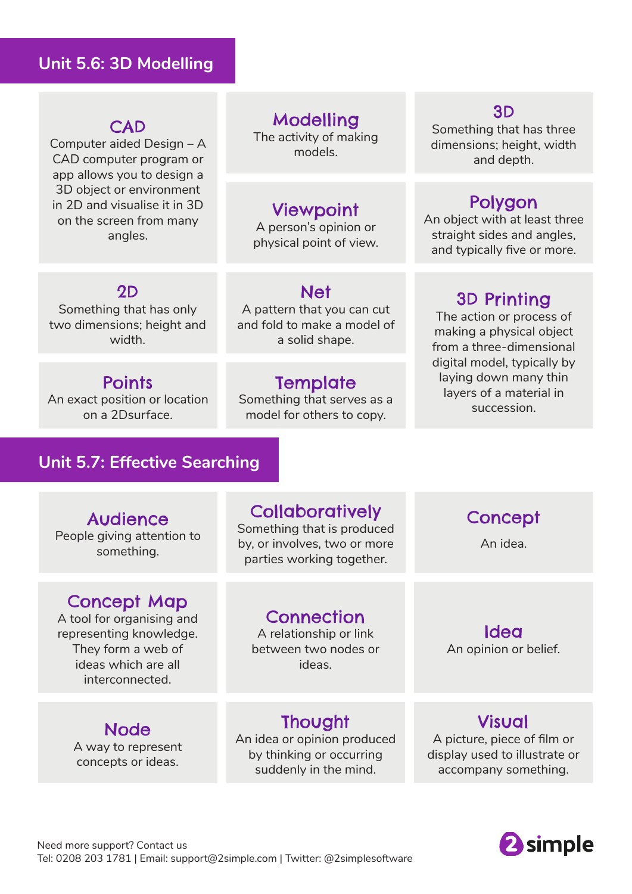#### **Unit 5.6: 3D Modelling**

#### **CAD**

Computer aided Design – A CAD computer program or app allows you to design a 3D object or environment in 2D and visualise it in 3D on the screen from many angles.

Modelling

The activity of making models.

#### Viewpoint

A person's opinion or physical point of view.

**Net** A pattern that you can cut and fold to make a model of a solid shape.

#### 2D

Something that has only two dimensions; height and width.

**Points** An exact position or location on a 2Dsurface.

## **Template**

Something that serves as a model for others to copy.

#### 3D

Something that has three dimensions; height, width and depth.

## Polygon

An object with at least three straight sides and angles, and typically five or more.

## 3D Printing

The action or process of making a physical object from a three-dimensional digital model, typically by laying down many thin layers of a material in succession.

#### **Unit 5.7: Effective Searching**

#### Audience

People giving attention to something.

## Concept Map

A tool for organising and representing knowledge. They form a web of ideas which are all interconnected.

# **Collaboratively**

Something that is produced by, or involves, two or more parties working together.

**Concept** 

An idea.

## Connection

A relationship or link between two nodes or ideas.

Idea An opinion or belief.

**Node** 

A way to represent concepts or ideas.

**Thought** An idea or opinion produced by thinking or occurring suddenly in the mind.

Visual A picture, piece of film or display used to illustrate or accompany something.